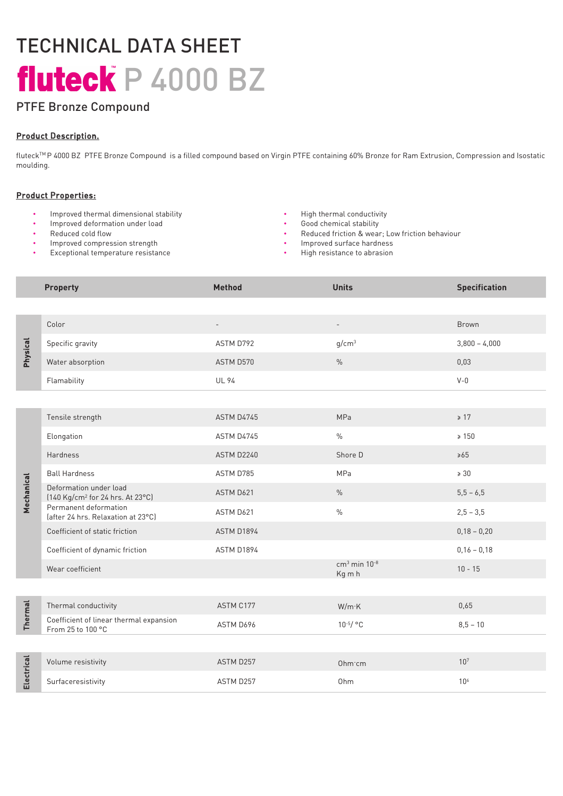# TECHNICAL DATA SHEET fluteck P 4000 BZ

# PTFE Bronze Compound

# Product Description.

fluteckTM P 4000 BZ PTFE Bronze Compound is a filled compound based on Virgin PTFE containing 60% Bronze for Ram Extrusion, Compression and Isostatic moulding.

#### Product Properties:

- Improved thermal dimensional stability  $\cdot$  High thermal conductivity  $\cdot$  High thermal conductivity  $\cdot$  Good chemical stability
- Improved deformation under load Good chemical stability of  $\bullet$
- Reduced cold flow
- Improved compression strength
- Exceptional temperature resistance
- 
- 
- Reduced friction & wear; Low friction behaviour
- Improved surface hardness
- High resistance to abrasion

|            | <b>Property</b>                                                        | <b>Method</b> | <b>Units</b>                         | <b>Specification</b> |
|------------|------------------------------------------------------------------------|---------------|--------------------------------------|----------------------|
|            |                                                                        |               |                                      |                      |
| Physical   | Color                                                                  |               | $\overline{\phantom{a}}$             | <b>Brown</b>         |
|            | Specific gravity                                                       | ASTM D792     | g/cm <sup>3</sup>                    | $3,800 - 4,000$      |
|            | Water absorption                                                       | ASTM D570     | $\frac{0}{0}$                        | 0,03                 |
|            | Flamability                                                            | <b>UL 94</b>  |                                      | $V - 0$              |
|            |                                                                        |               |                                      |                      |
| Mechanical | Tensile strength                                                       | ASTM D4745    | MPa                                  | $\geq 17$            |
|            | Elongation                                                             | ASTM D4745    | $\frac{0}{0}$                        | $\geq 150$           |
|            | <b>Hardness</b>                                                        | ASTM D2240    | Shore D                              | $\geq 65$            |
|            | <b>Ball Hardness</b>                                                   | ASTM D785     | MPa                                  | $\geq 30$            |
|            | Deformation under load<br>(140 Kg/cm <sup>2</sup> for 24 hrs. At 23°C) | ASTM D621     | $\frac{0}{0}$                        | $5,5 - 6,5$          |
|            | Permanent deformation<br>(after 24 hrs. Relaxation at 23°C)            | ASTM D621     | $\%$                                 | $2,5 - 3,5$          |
|            | Coefficient of static friction                                         | ASTM D1894    |                                      | $0,18 - 0,20$        |
|            | Coefficient of dynamic friction                                        | ASTM D1894    |                                      | $0,16 - 0,18$        |
|            | Wear coefficient                                                       |               | $cm3$ min 10 <sup>-8</sup><br>Kg m h | $10 - 15$            |
|            |                                                                        |               |                                      |                      |
| Thermal    | Thermal conductivity                                                   | ASTM C177     | W/m K                                | 0,65                 |
|            | Coefficient of linear thermal expansion<br>From 25 to 100 °C           | ASTM D696     | $10^{-5}/$ °C                        | $8,5 - 10$           |
|            |                                                                        |               |                                      |                      |
| Electrical | Volume resistivity                                                     | ASTM D257     | Ohm cm                               | 10 <sup>7</sup>      |
|            | Surfaceresistivity                                                     | ASTM D257     | Ohm                                  | 10 <sup>6</sup>      |